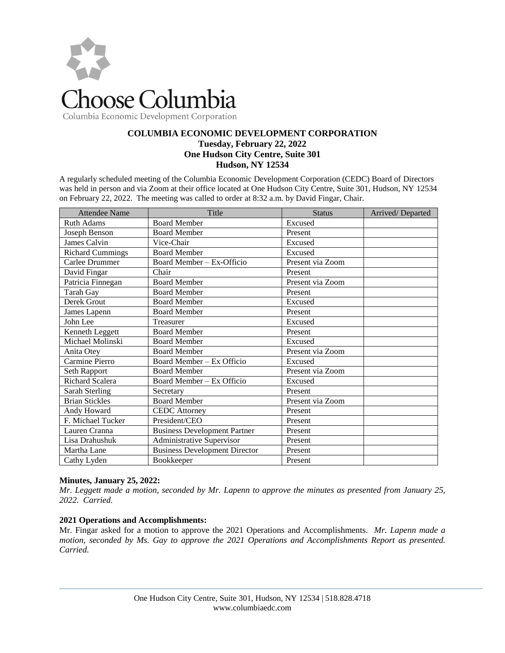

# **COLUMBIA ECONOMIC DEVELOPMENT CORPORATION Tuesday, February 22, 2022 One Hudson City Centre, Suite 301 Hudson, NY 12534**

A regularly scheduled meeting of the Columbia Economic Development Corporation (CEDC) Board of Directors was held in person and via Zoom at their office located at One Hudson City Centre, Suite 301, Hudson, NY 12534 on February 22, 2022. The meeting was called to order at 8:32 a.m. by David Fingar, Chair.

| <b>Attendee Name</b>    | Title                                | <b>Status</b>    | Arrived/Departed |
|-------------------------|--------------------------------------|------------------|------------------|
| <b>Ruth Adams</b>       | <b>Board Member</b>                  | Excused          |                  |
| Joseph Benson           | <b>Board Member</b>                  | Present          |                  |
| James Calvin            | Vice-Chair                           | Excused          |                  |
| <b>Richard Cummings</b> | <b>Board Member</b>                  | Excused          |                  |
| Carlee Drummer          | Board Member - Ex-Officio            | Present via Zoom |                  |
| David Fingar            | Chair                                | Present          |                  |
| Patricia Finnegan       | <b>Board Member</b>                  | Present via Zoom |                  |
| <b>Tarah Gay</b>        | <b>Board Member</b>                  | Present          |                  |
| Derek Grout             | <b>Board Member</b>                  | Excused          |                  |
| James Lapenn            | <b>Board Member</b>                  | Present          |                  |
| John Lee                | Treasurer                            | Excused          |                  |
| Kenneth Leggett         | <b>Board Member</b>                  | Present          |                  |
| Michael Molinski        | <b>Board Member</b>                  | Excused          |                  |
| Anita Otey              | <b>Board Member</b>                  | Present via Zoom |                  |
| Carmine Pierro          | Board Member - Ex Officio            | Excused          |                  |
| Seth Rapport            | <b>Board Member</b>                  | Present via Zoom |                  |
| <b>Richard Scalera</b>  | Board Member - Ex Officio            | Excused          |                  |
| Sarah Sterling          | Secretary                            | Present          |                  |
| <b>Brian Stickles</b>   | <b>Board Member</b>                  | Present via Zoom |                  |
| Andy Howard             | <b>CEDC</b> Attorney                 | Present          |                  |
| F. Michael Tucker       | President/CEO                        | Present          |                  |
| Lauren Cranna           | <b>Business Development Partner</b>  | Present          |                  |
| Lisa Drahushuk          | Administrative Supervisor            | Present          |                  |
| Martha Lane             | <b>Business Development Director</b> | Present          |                  |
| Cathy Lyden             | Bookkeeper                           | Present          |                  |

# **Minutes, January 25, 2022:**

*Mr. Leggett made a motion, seconded by Mr. Lapenn to approve the minutes as presented from January 25, 2022. Carried.*

#### **2021 Operations and Accomplishments:**

Mr. Fingar asked for a motion to approve the 2021 Operations and Accomplishments. *Mr. Lapenn made a motion, seconded by Ms. Gay to approve the 2021 Operations and Accomplishments Report as presented. Carried.*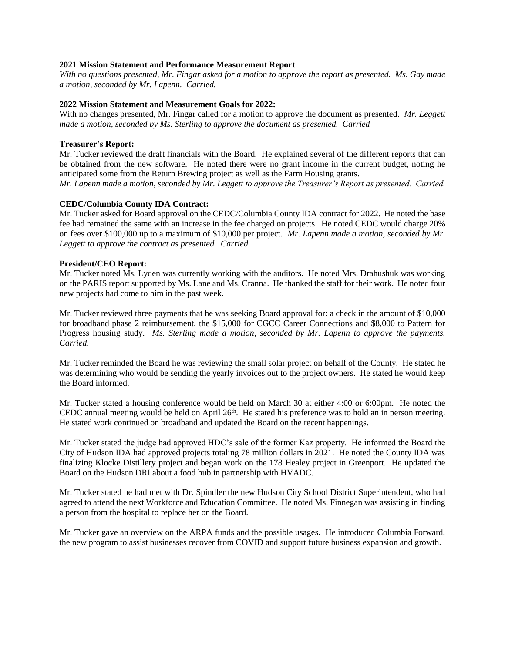#### **2021 Mission Statement and Performance Measurement Report**

*With no questions presented, Mr. Fingar asked for a motion to approve the report as presented. Ms. Gay made a motion, seconded by Mr. Lapenn. Carried.*

#### **2022 Mission Statement and Measurement Goals for 2022:**

With no changes presented, Mr. Fingar called for a motion to approve the document as presented. *Mr. Leggett made a motion, seconded by Ms. Sterling to approve the document as presented. Carried* 

#### **Treasurer's Report:**

Mr. Tucker reviewed the draft financials with the Board. He explained several of the different reports that can be obtained from the new software. He noted there were no grant income in the current budget, noting he anticipated some from the Return Brewing project as well as the Farm Housing grants. *Mr. Lapenn made a motion, seconded by Mr. Leggett to approve the Treasurer's Report as presented. Carried.* 

## **CEDC/Columbia County IDA Contract:**

Mr. Tucker asked for Board approval on the CEDC/Columbia County IDA contract for 2022. He noted the base fee had remained the same with an increase in the fee charged on projects. He noted CEDC would charge 20% on fees over \$100,000 up to a maximum of \$10,000 per project. *Mr. Lapenn made a motion, seconded by Mr. Leggett to approve the contract as presented. Carried.*

#### **President/CEO Report:**

Mr. Tucker noted Ms. Lyden was currently working with the auditors. He noted Mrs. Drahushuk was working on the PARIS report supported by Ms. Lane and Ms. Cranna. He thanked the staff for their work. He noted four new projects had come to him in the past week.

Mr. Tucker reviewed three payments that he was seeking Board approval for: a check in the amount of \$10,000 for broadband phase 2 reimbursement, the \$15,000 for CGCC Career Connections and \$8,000 to Pattern for Progress housing study. *Ms. Sterling made a motion, seconded by Mr. Lapenn to approve the payments. Carried.*

Mr. Tucker reminded the Board he was reviewing the small solar project on behalf of the County. He stated he was determining who would be sending the yearly invoices out to the project owners. He stated he would keep the Board informed.

Mr. Tucker stated a housing conference would be held on March 30 at either 4:00 or 6:00pm. He noted the CEDC annual meeting would be held on April 26<sup>th</sup>. He stated his preference was to hold an in person meeting. He stated work continued on broadband and updated the Board on the recent happenings.

Mr. Tucker stated the judge had approved HDC's sale of the former Kaz property. He informed the Board the City of Hudson IDA had approved projects totaling 78 million dollars in 2021. He noted the County IDA was finalizing Klocke Distillery project and began work on the 178 Healey project in Greenport. He updated the Board on the Hudson DRI about a food hub in partnership with HVADC.

Mr. Tucker stated he had met with Dr. Spindler the new Hudson City School District Superintendent, who had agreed to attend the next Workforce and Education Committee. He noted Ms. Finnegan was assisting in finding a person from the hospital to replace her on the Board.

Mr. Tucker gave an overview on the ARPA funds and the possible usages. He introduced Columbia Forward, the new program to assist businesses recover from COVID and support future business expansion and growth.